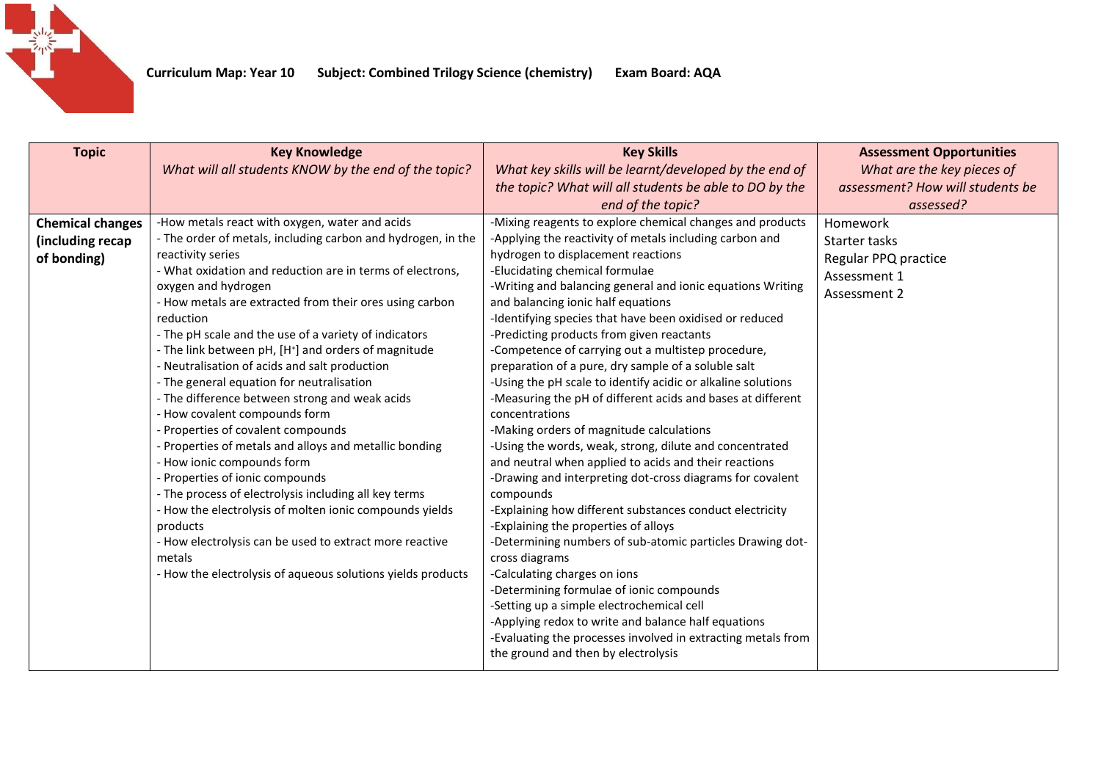

| <b>Topic</b>                                               | <b>Key Knowledge</b><br>What will all students KNOW by the end of the topic?                                                                                                                                                                                                                                                                                                                                                                                                                                                                                                                                                                                                                                                                                                                                                                                                                                                                                                                                                                       | <b>Key Skills</b><br>What key skills will be learnt/developed by the end of<br>the topic? What will all students be able to DO by the<br>end of the topic?                                                                                                                                                                                                                                                                                                                                                                                                                                                                                                                                                                                                                                                                                                                                                                                                                                                                                                                                                                                                                                                                                                                                                                                                                                 | <b>Assessment Opportunities</b><br>What are the key pieces of<br>assessment? How will students be<br>assessed? |
|------------------------------------------------------------|----------------------------------------------------------------------------------------------------------------------------------------------------------------------------------------------------------------------------------------------------------------------------------------------------------------------------------------------------------------------------------------------------------------------------------------------------------------------------------------------------------------------------------------------------------------------------------------------------------------------------------------------------------------------------------------------------------------------------------------------------------------------------------------------------------------------------------------------------------------------------------------------------------------------------------------------------------------------------------------------------------------------------------------------------|--------------------------------------------------------------------------------------------------------------------------------------------------------------------------------------------------------------------------------------------------------------------------------------------------------------------------------------------------------------------------------------------------------------------------------------------------------------------------------------------------------------------------------------------------------------------------------------------------------------------------------------------------------------------------------------------------------------------------------------------------------------------------------------------------------------------------------------------------------------------------------------------------------------------------------------------------------------------------------------------------------------------------------------------------------------------------------------------------------------------------------------------------------------------------------------------------------------------------------------------------------------------------------------------------------------------------------------------------------------------------------------------|----------------------------------------------------------------------------------------------------------------|
| <b>Chemical changes</b><br>(including recap<br>of bonding) | -How metals react with oxygen, water and acids<br>- The order of metals, including carbon and hydrogen, in the<br>reactivity series<br>- What oxidation and reduction are in terms of electrons,<br>oxygen and hydrogen<br>- How metals are extracted from their ores using carbon<br>reduction<br>- The pH scale and the use of a variety of indicators<br>- The link between pH, [H <sup>+</sup> ] and orders of magnitude<br>- Neutralisation of acids and salt production<br>- The general equation for neutralisation<br>- The difference between strong and weak acids<br>- How covalent compounds form<br>- Properties of covalent compounds<br>- Properties of metals and alloys and metallic bonding<br>- How ionic compounds form<br>- Properties of ionic compounds<br>- The process of electrolysis including all key terms<br>- How the electrolysis of molten ionic compounds yields<br>products<br>- How electrolysis can be used to extract more reactive<br>metals<br>- How the electrolysis of aqueous solutions yields products | -Mixing reagents to explore chemical changes and products<br>-Applying the reactivity of metals including carbon and<br>hydrogen to displacement reactions<br>-Elucidating chemical formulae<br>-Writing and balancing general and ionic equations Writing<br>and balancing ionic half equations<br>-Identifying species that have been oxidised or reduced<br>-Predicting products from given reactants<br>-Competence of carrying out a multistep procedure,<br>preparation of a pure, dry sample of a soluble salt<br>-Using the pH scale to identify acidic or alkaline solutions<br>-Measuring the pH of different acids and bases at different<br>concentrations<br>-Making orders of magnitude calculations<br>-Using the words, weak, strong, dilute and concentrated<br>and neutral when applied to acids and their reactions<br>-Drawing and interpreting dot-cross diagrams for covalent<br>compounds<br>-Explaining how different substances conduct electricity<br>-Explaining the properties of alloys<br>-Determining numbers of sub-atomic particles Drawing dot-<br>cross diagrams<br>-Calculating charges on ions<br>-Determining formulae of ionic compounds<br>-Setting up a simple electrochemical cell<br>-Applying redox to write and balance half equations<br>-Evaluating the processes involved in extracting metals from<br>the ground and then by electrolysis | Homework<br>Starter tasks<br>Regular PPQ practice<br>Assessment 1<br>Assessment 2                              |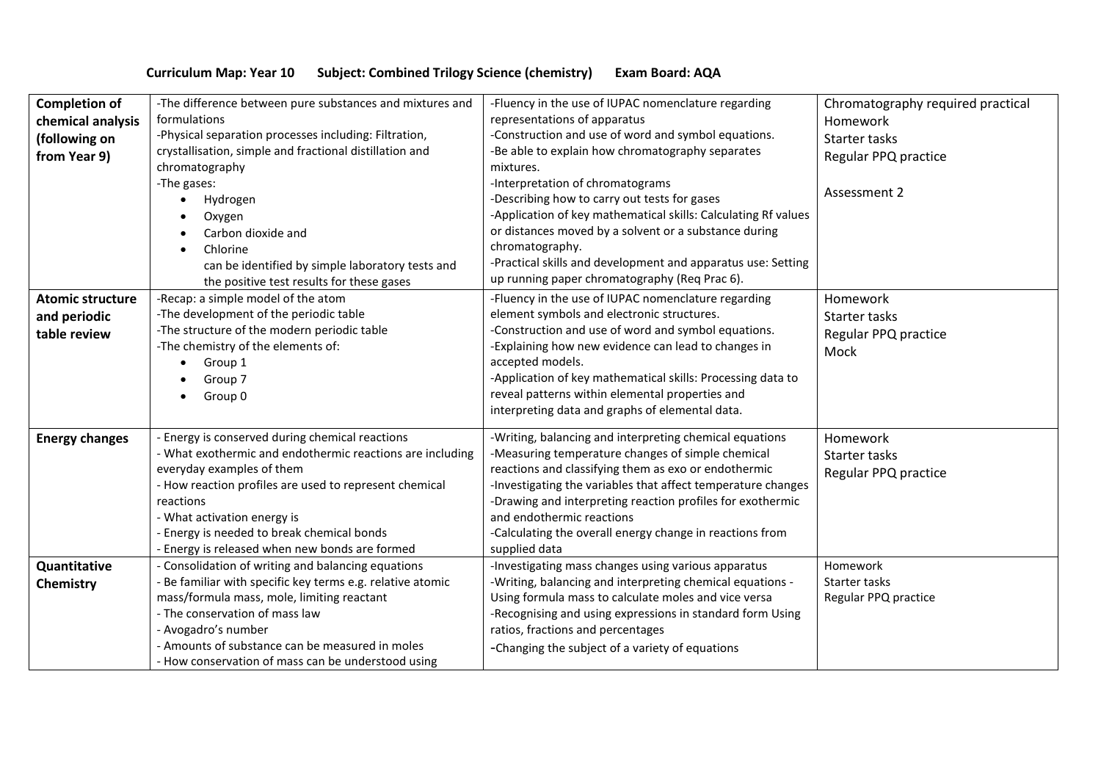## **Curriculum Map: Year 10 Subject: Combined Trilogy Science (chemistry) Exam Board: AQA**

| <b>Completion of</b><br>chemical analysis | -The difference between pure substances and mixtures and<br>formulations                                         | -Fluency in the use of IUPAC nomenclature regarding<br>representations of apparatus                       | Chromatography required practical<br>Homework |
|-------------------------------------------|------------------------------------------------------------------------------------------------------------------|-----------------------------------------------------------------------------------------------------------|-----------------------------------------------|
| (following on<br>from Year 9)             | -Physical separation processes including: Filtration,<br>crystallisation, simple and fractional distillation and | -Construction and use of word and symbol equations.<br>-Be able to explain how chromatography separates   | Starter tasks<br>Regular PPQ practice         |
|                                           | chromatography<br>-The gases:                                                                                    | mixtures.<br>-Interpretation of chromatograms                                                             |                                               |
|                                           | Hydrogen                                                                                                         | -Describing how to carry out tests for gases                                                              | Assessment 2                                  |
|                                           | Oxygen                                                                                                           | -Application of key mathematical skills: Calculating Rf values                                            |                                               |
|                                           | Carbon dioxide and                                                                                               | or distances moved by a solvent or a substance during                                                     |                                               |
|                                           | Chlorine<br>$\bullet$<br>can be identified by simple laboratory tests and                                        | chromatography.<br>-Practical skills and development and apparatus use: Setting                           |                                               |
|                                           | the positive test results for these gases                                                                        | up running paper chromatography (Req Prac 6).                                                             |                                               |
| <b>Atomic structure</b>                   | -Recap: a simple model of the atom                                                                               | -Fluency in the use of IUPAC nomenclature regarding                                                       | Homework                                      |
| and periodic                              | -The development of the periodic table<br>-The structure of the modern periodic table                            | element symbols and electronic structures.<br>-Construction and use of word and symbol equations.         | Starter tasks                                 |
| table review                              | -The chemistry of the elements of:                                                                               | -Explaining how new evidence can lead to changes in                                                       | Regular PPQ practice<br>Mock                  |
|                                           | Group 1                                                                                                          | accepted models.                                                                                          |                                               |
|                                           | Group 7                                                                                                          | -Application of key mathematical skills: Processing data to                                               |                                               |
|                                           | Group 0                                                                                                          | reveal patterns within elemental properties and<br>interpreting data and graphs of elemental data.        |                                               |
|                                           |                                                                                                                  |                                                                                                           |                                               |
| <b>Energy changes</b>                     | Energy is conserved during chemical reactions                                                                    | -Writing, balancing and interpreting chemical equations                                                   | Homework                                      |
|                                           | - What exothermic and endothermic reactions are including<br>everyday examples of them                           | -Measuring temperature changes of simple chemical<br>reactions and classifying them as exo or endothermic | Starter tasks                                 |
|                                           | - How reaction profiles are used to represent chemical                                                           | -Investigating the variables that affect temperature changes                                              | Regular PPQ practice                          |
|                                           | reactions                                                                                                        | -Drawing and interpreting reaction profiles for exothermic                                                |                                               |
|                                           | - What activation energy is                                                                                      | and endothermic reactions                                                                                 |                                               |
|                                           | - Energy is needed to break chemical bonds<br>- Energy is released when new bonds are formed                     | -Calculating the overall energy change in reactions from<br>supplied data                                 |                                               |
| Quantitative                              | Consolidation of writing and balancing equations                                                                 | -Investigating mass changes using various apparatus                                                       | Homework                                      |
| Chemistry                                 | Be familiar with specific key terms e.g. relative atomic                                                         | -Writing, balancing and interpreting chemical equations -                                                 | Starter tasks                                 |
|                                           | mass/formula mass, mole, limiting reactant                                                                       | Using formula mass to calculate moles and vice versa                                                      | Regular PPQ practice                          |
|                                           | - The conservation of mass law<br>- Avogadro's number                                                            | -Recognising and using expressions in standard form Using<br>ratios, fractions and percentages            |                                               |
|                                           | - Amounts of substance can be measured in moles                                                                  | -Changing the subject of a variety of equations                                                           |                                               |
|                                           | - How conservation of mass can be understood using                                                               |                                                                                                           |                                               |